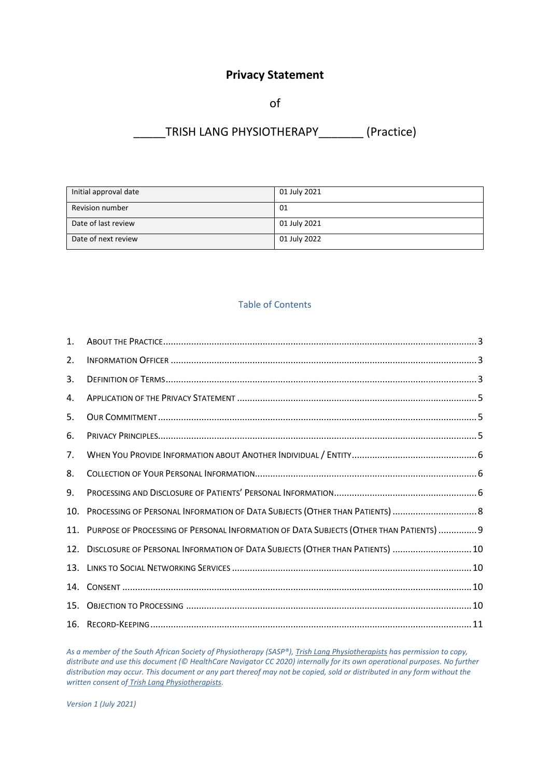# **Privacy Statement**

of

# \_\_\_\_\_TRISH LANG PHYSIOTHERAPY\_\_\_\_\_\_\_ (Practice)

| Initial approval date  | 01 July 2021 |
|------------------------|--------------|
| <b>Revision number</b> | 01           |
| Date of last review    | 01 July 2021 |
| Date of next review    | 01 July 2022 |

## Table of Contents

| $\mathbf{1}$ . |                                                                                         |  |
|----------------|-----------------------------------------------------------------------------------------|--|
| 2.             |                                                                                         |  |
| 3.             |                                                                                         |  |
| 4.             |                                                                                         |  |
| 5.             |                                                                                         |  |
| 6.             |                                                                                         |  |
| 7.             |                                                                                         |  |
| 8.             |                                                                                         |  |
| 9.             |                                                                                         |  |
| 10.            |                                                                                         |  |
| 11.            | PURPOSE OF PROCESSING OF PERSONAL INFORMATION OF DATA SUBJECTS (OTHER THAN PATIENTS)  9 |  |
| 12.            | DISCLOSURE OF PERSONAL INFORMATION OF DATA SUBJECTS (OTHER THAN PATIENTS)  10           |  |
| 13.            |                                                                                         |  |
| 14.            |                                                                                         |  |
| 15.            |                                                                                         |  |
|                |                                                                                         |  |

*As a member of the South African Society of Physiotherapy (SASP®), Trish Lang Physiotherapists has permission to copy, distribute and use this document (© HealthCare Navigator CC 2020) internally for its own operational purposes. No further distribution may occur. This document or any part thereof may not be copied, sold or distributed in any form without the written consent of Trish Lang Physiotherapists.*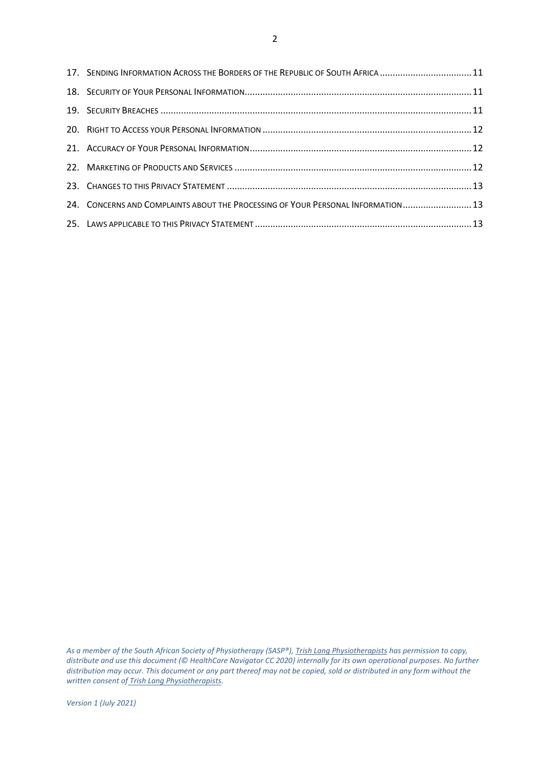| 17. SENDING INFORMATION ACROSS THE BORDERS OF THE REPUBLIC OF SOUTH AFRICA 11    |  |
|----------------------------------------------------------------------------------|--|
|                                                                                  |  |
|                                                                                  |  |
|                                                                                  |  |
|                                                                                  |  |
|                                                                                  |  |
|                                                                                  |  |
| 24. CONCERNS AND COMPLAINTS ABOUT THE PROCESSING OF YOUR PERSONAL INFORMATION 13 |  |
|                                                                                  |  |

*As a member of the South African Society of Physiotherapy (SASP®), Trish Lang Physiotherapists has permission to copy, distribute and use this document (© HealthCare Navigator CC 2020) internally for its own operational purposes. No further distribution may occur. This document or any part thereof may not be copied, sold or distributed in any form without the written consent of Trish Lang Physiotherapists.*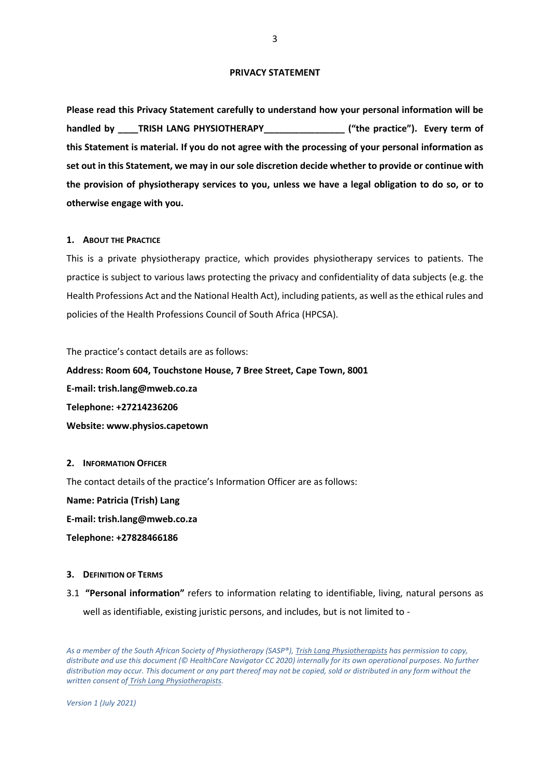#### **PRIVACY STATEMENT**

**Please read this Privacy Statement carefully to understand how your personal information will be handled by \_\_\_\_TRISH LANG PHYSIOTHERAPY\_\_\_\_\_\_\_\_\_\_\_\_\_\_\_\_ ("the practice"). Every term of this Statement is material. If you do not agree with the processing of your personal information as set out in this Statement, we may in our sole discretion decide whether to provide or continue with the provision of physiotherapy services to you, unless we have a legal obligation to do so, or to otherwise engage with you.**

#### <span id="page-2-0"></span>**1. ABOUT THE PRACTICE**

This is a private physiotherapy practice, which provides physiotherapy services to patients. The practice is subject to various laws protecting the privacy and confidentiality of data subjects (e.g. the Health Professions Act and the National Health Act), including patients, as well as the ethical rules and policies of the Health Professions Council of South Africa (HPCSA).

The practice's contact details are as follows:

**Address: Room 604, Touchstone House, 7 Bree Street, Cape Town, 8001**

**E-mail: trish.lang@mweb.co.za Telephone: +27214236206 Website: www.physios.capetown**

#### <span id="page-2-1"></span>**2. INFORMATION OFFICER**

The contact details of the practice's Information Officer are as follows:

**Name: Patricia (Trish) Lang**

**E-mail: trish.lang@mweb.co.za**

**Telephone: +27828466186**

#### <span id="page-2-2"></span>**3. DEFINITION OF TERMS**

3.1 **"Personal information"** refers to information relating to identifiable, living, natural persons as well as identifiable, existing juristic persons, and includes, but is not limited to -

*As a member of the South African Society of Physiotherapy (SASP®), Trish Lang Physiotherapists has permission to copy, distribute and use this document (© HealthCare Navigator CC 2020) internally for its own operational purposes. No further distribution may occur. This document or any part thereof may not be copied, sold or distributed in any form without the written consent of Trish Lang Physiotherapists.*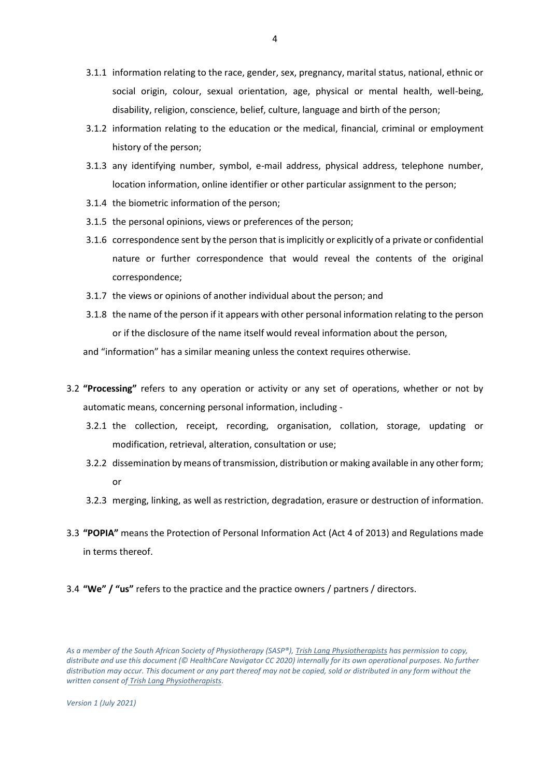- 3.1.1 information relating to the race, gender, sex, pregnancy, marital status, national, ethnic or social origin, colour, sexual orientation, age, physical or mental health, well-being, disability, religion, conscience, belief, culture, language and birth of the person;
- 3.1.2 information relating to the education or the medical, financial, criminal or employment history of the person;
- 3.1.3 any identifying number, symbol, e-mail address, physical address, telephone number, location information, online identifier or other particular assignment to the person;
- 3.1.4 the biometric information of the person;
- 3.1.5 the personal opinions, views or preferences of the person;
- 3.1.6 correspondence sent by the person that is implicitly or explicitly of a private or confidential nature or further correspondence that would reveal the contents of the original correspondence;
- 3.1.7 the views or opinions of another individual about the person; and
- 3.1.8 the name of the person if it appears with other personal information relating to the person or if the disclosure of the name itself would reveal information about the person,

and "information" has a similar meaning unless the context requires otherwise.

- 3.2 **"Processing"** refers to any operation or activity or any set of operations, whether or not by automatic means, concerning personal information, including -
	- 3.2.1 the collection, receipt, recording, organisation, collation, storage, updating or modification, retrieval, alteration, consultation or use;
	- 3.2.2 dissemination by means of transmission, distribution or making available in any other form; or
	- 3.2.3 merging, linking, as well as restriction, degradation, erasure or destruction of information.
- 3.3 **"POPIA"** means the Protection of Personal Information Act (Act 4 of 2013) and Regulations made in terms thereof.
- 3.4 **"We" / "us"** refers to the practice and the practice owners / partners / directors.

*As a member of the South African Society of Physiotherapy (SASP®), Trish Lang Physiotherapists has permission to copy, distribute and use this document (© HealthCare Navigator CC 2020) internally for its own operational purposes. No further distribution may occur. This document or any part thereof may not be copied, sold or distributed in any form without the written consent of Trish Lang Physiotherapists.*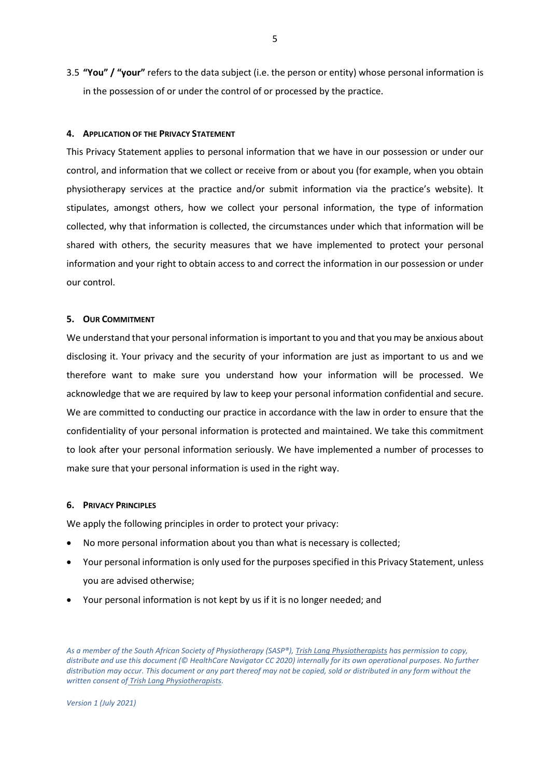3.5 **"You" / "your"** refers to the data subject (i.e. the person or entity) whose personal information is in the possession of or under the control of or processed by the practice.

#### <span id="page-4-0"></span>**4. APPLICATION OF THE PRIVACY STATEMENT**

This Privacy Statement applies to personal information that we have in our possession or under our control, and information that we collect or receive from or about you (for example, when you obtain physiotherapy services at the practice and/or submit information via the practice's website). It stipulates, amongst others, how we collect your personal information, the type of information collected, why that information is collected, the circumstances under which that information will be shared with others, the security measures that we have implemented to protect your personal information and your right to obtain access to and correct the information in our possession or under our control.

## <span id="page-4-1"></span>**5. OUR COMMITMENT**

We understand that your personal information is important to you and that you may be anxious about disclosing it. Your privacy and the security of your information are just as important to us and we therefore want to make sure you understand how your information will be processed. We acknowledge that we are required by law to keep your personal information confidential and secure. We are committed to conducting our practice in accordance with the law in order to ensure that the confidentiality of your personal information is protected and maintained. We take this commitment to look after your personal information seriously. We have implemented a number of processes to make sure that your personal information is used in the right way.

#### <span id="page-4-2"></span>**6. PRIVACY PRINCIPLES**

We apply the following principles in order to protect your privacy:

- No more personal information about you than what is necessary is collected;
- Your personal information is only used for the purposes specified in this Privacy Statement, unless you are advised otherwise;
- Your personal information is not kept by us if it is no longer needed; and

*As a member of the South African Society of Physiotherapy (SASP®), Trish Lang Physiotherapists has permission to copy, distribute and use this document (© HealthCare Navigator CC 2020) internally for its own operational purposes. No further distribution may occur. This document or any part thereof may not be copied, sold or distributed in any form without the written consent of Trish Lang Physiotherapists.*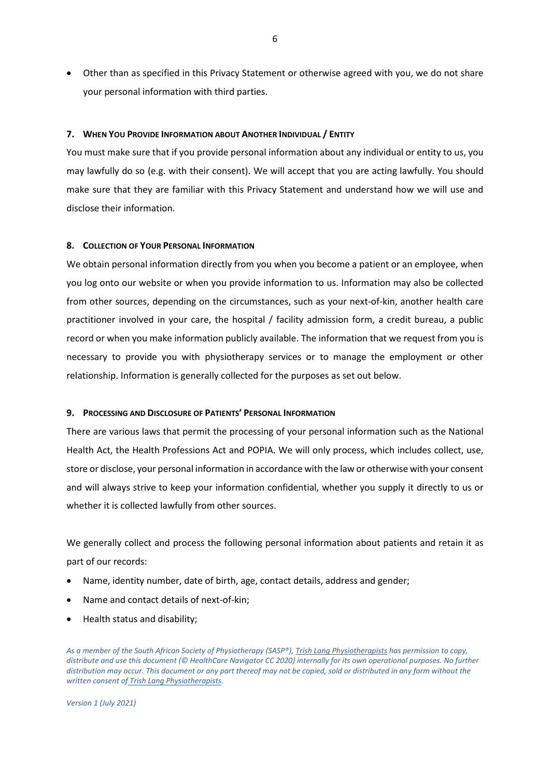• Other than as specified in this Privacy Statement or otherwise agreed with you, we do not share your personal information with third parties.

#### <span id="page-5-0"></span>**7. WHEN YOU PROVIDE INFORMATION ABOUT ANOTHER INDIVIDUAL / ENTITY**

You must make sure that if you provide personal information about any individual or entity to us, you may lawfully do so (e.g. with their consent). We will accept that you are acting lawfully. You should make sure that they are familiar with this Privacy Statement and understand how we will use and disclose their information.

#### <span id="page-5-1"></span>**8. COLLECTION OF YOUR PERSONAL INFORMATION**

We obtain personal information directly from you when you become a patient or an employee, when you log onto our website or when you provide information to us. Information may also be collected from other sources, depending on the circumstances, such as your next-of-kin, another health care practitioner involved in your care, the hospital / facility admission form, a credit bureau, a public record or when you make information publicly available. The information that we request from you is necessary to provide you with physiotherapy services or to manage the employment or other relationship. Information is generally collected for the purposes as set out below.

#### <span id="page-5-2"></span>**9. PROCESSING AND DISCLOSURE OF PATIENTS' PERSONAL INFORMATION**

There are various laws that permit the processing of your personal information such as the National Health Act, the Health Professions Act and POPIA. We will only process, which includes collect, use, store or disclose, your personal information in accordance with the law or otherwise with your consent and will always strive to keep your information confidential, whether you supply it directly to us or whether it is collected lawfully from other sources.

We generally collect and process the following personal information about patients and retain it as part of our records:

- Name, identity number, date of birth, age, contact details, address and gender;
- Name and contact details of next-of-kin;
- Health status and disability;

*As a member of the South African Society of Physiotherapy (SASP®), Trish Lang Physiotherapists has permission to copy, distribute and use this document (© HealthCare Navigator CC 2020) internally for its own operational purposes. No further distribution may occur. This document or any part thereof may not be copied, sold or distributed in any form without the written consent of Trish Lang Physiotherapists.*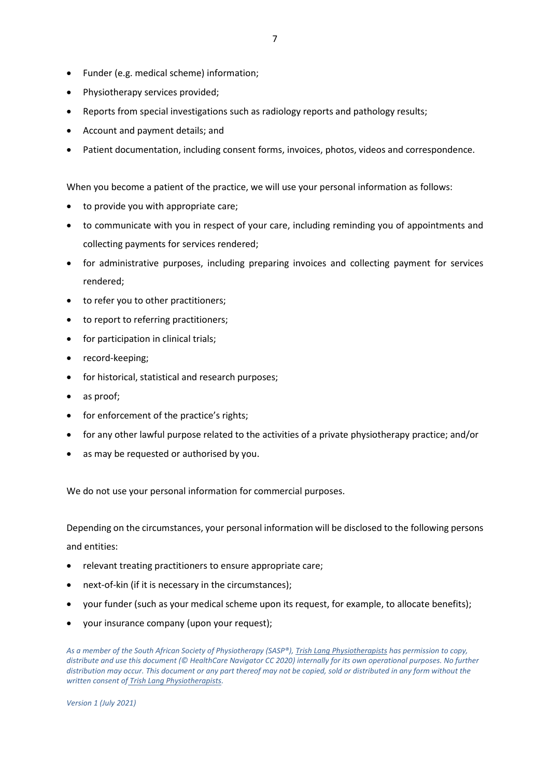- Funder (e.g. medical scheme) information;
- Physiotherapy services provided;
- Reports from special investigations such as radiology reports and pathology results;
- Account and payment details; and
- Patient documentation, including consent forms, invoices, photos, videos and correspondence.

When you become a patient of the practice, we will use your personal information as follows:

- to provide you with appropriate care;
- to communicate with you in respect of your care, including reminding you of appointments and collecting payments for services rendered;
- for administrative purposes, including preparing invoices and collecting payment for services rendered;
- to refer you to other practitioners;
- to report to referring practitioners;
- for participation in clinical trials;
- record-keeping;
- for historical, statistical and research purposes;
- as proof;
- for enforcement of the practice's rights;
- for any other lawful purpose related to the activities of a private physiotherapy practice; and/or
- as may be requested or authorised by you.

We do not use your personal information for commercial purposes.

Depending on the circumstances, your personal information will be disclosed to the following persons and entities:

- relevant treating practitioners to ensure appropriate care;
- next-of-kin (if it is necessary in the circumstances);
- your funder (such as your medical scheme upon its request, for example, to allocate benefits);
- your insurance company (upon your request);

*As a member of the South African Society of Physiotherapy (SASP®), Trish Lang Physiotherapists has permission to copy, distribute and use this document (© HealthCare Navigator CC 2020) internally for its own operational purposes. No further distribution may occur. This document or any part thereof may not be copied, sold or distributed in any form without the written consent of Trish Lang Physiotherapists.*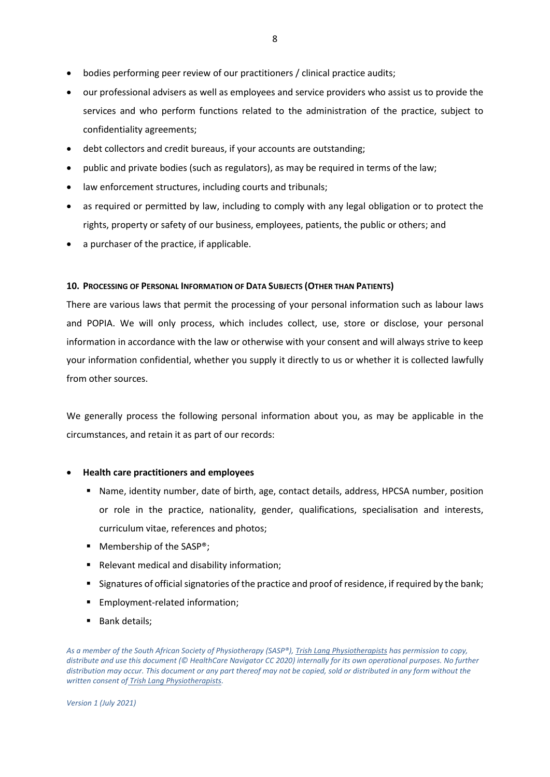- bodies performing peer review of our practitioners / clinical practice audits;
- our professional advisers as well as employees and service providers who assist us to provide the services and who perform functions related to the administration of the practice, subject to confidentiality agreements;
- debt collectors and credit bureaus, if your accounts are outstanding;
- public and private bodies (such as regulators), as may be required in terms of the law;
- law enforcement structures, including courts and tribunals;
- as required or permitted by law, including to comply with any legal obligation or to protect the rights, property or safety of our business, employees, patients, the public or others; and
- a purchaser of the practice, if applicable.

## <span id="page-7-0"></span>**10. PROCESSING OF PERSONAL INFORMATION OF DATA SUBJECTS (OTHER THAN PATIENTS)**

There are various laws that permit the processing of your personal information such as labour laws and POPIA. We will only process, which includes collect, use, store or disclose, your personal information in accordance with the law or otherwise with your consent and will always strive to keep your information confidential, whether you supply it directly to us or whether it is collected lawfully from other sources.

We generally process the following personal information about you, as may be applicable in the circumstances, and retain it as part of our records:

## • **Health care practitioners and employees**

- Name, identity number, date of birth, age, contact details, address, HPCSA number, position or role in the practice, nationality, gender, qualifications, specialisation and interests, curriculum vitae, references and photos;
- Membership of the SASP<sup>®</sup>;
- Relevant medical and disability information;
- Signatures of official signatories of the practice and proof of residence, if required by the bank;
- **Employment-related information;**
- Bank details;

*As a member of the South African Society of Physiotherapy (SASP®), Trish Lang Physiotherapists has permission to copy, distribute and use this document (© HealthCare Navigator CC 2020) internally for its own operational purposes. No further distribution may occur. This document or any part thereof may not be copied, sold or distributed in any form without the written consent of Trish Lang Physiotherapists.*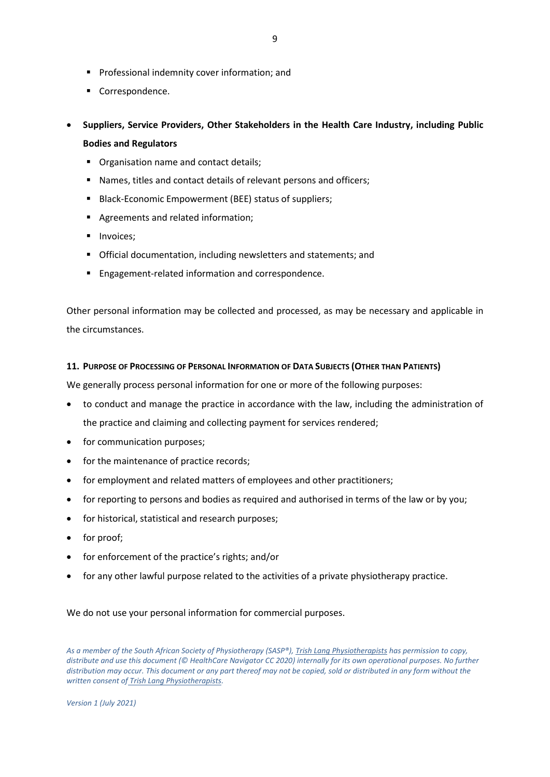- Professional indemnity cover information; and
- Correspondence.
- **Suppliers, Service Providers, Other Stakeholders in the Health Care Industry, including Public Bodies and Regulators**
	- Organisation name and contact details;
	- Names, titles and contact details of relevant persons and officers;
	- Black-Economic Empowerment (BEE) status of suppliers;
	- Agreements and related information:
	- **■** Invoices;
	- Official documentation, including newsletters and statements; and
	- Engagement-related information and correspondence.

Other personal information may be collected and processed, as may be necessary and applicable in the circumstances.

## <span id="page-8-0"></span>**11. PURPOSE OF PROCESSING OF PERSONAL INFORMATION OF DATA SUBJECTS (OTHER THAN PATIENTS)**

We generally process personal information for one or more of the following purposes:

- to conduct and manage the practice in accordance with the law, including the administration of the practice and claiming and collecting payment for services rendered;
- for communication purposes;
- for the maintenance of practice records;
- for employment and related matters of employees and other practitioners;
- for reporting to persons and bodies as required and authorised in terms of the law or by you;
- for historical, statistical and research purposes;
- for proof;
- for enforcement of the practice's rights; and/or
- for any other lawful purpose related to the activities of a private physiotherapy practice.

We do not use your personal information for commercial purposes.

*As a member of the South African Society of Physiotherapy (SASP®), Trish Lang Physiotherapists has permission to copy, distribute and use this document (© HealthCare Navigator CC 2020) internally for its own operational purposes. No further distribution may occur. This document or any part thereof may not be copied, sold or distributed in any form without the written consent of Trish Lang Physiotherapists.*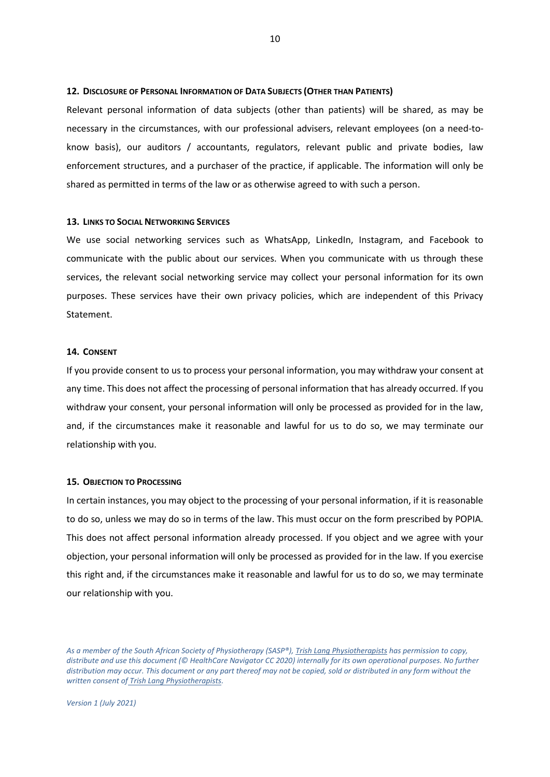#### <span id="page-9-0"></span>**12. DISCLOSURE OF PERSONAL INFORMATION OF DATA SUBJECTS (OTHER THAN PATIENTS)**

Relevant personal information of data subjects (other than patients) will be shared, as may be necessary in the circumstances, with our professional advisers, relevant employees (on a need-toknow basis), our auditors / accountants, regulators, relevant public and private bodies, law enforcement structures, and a purchaser of the practice, if applicable. The information will only be shared as permitted in terms of the law or as otherwise agreed to with such a person.

#### <span id="page-9-1"></span>**13. LINKS TO SOCIAL NETWORKING SERVICES**

We use social networking services such as WhatsApp, LinkedIn, Instagram, and Facebook to communicate with the public about our services. When you communicate with us through these services, the relevant social networking service may collect your personal information for its own purposes. These services have their own privacy policies, which are independent of this Privacy **Statement** 

#### <span id="page-9-2"></span>**14. CONSENT**

If you provide consent to us to process your personal information, you may withdraw your consent at any time. This does not affect the processing of personal information that has already occurred. If you withdraw your consent, your personal information will only be processed as provided for in the law, and, if the circumstances make it reasonable and lawful for us to do so, we may terminate our relationship with you.

#### <span id="page-9-3"></span>**15. OBJECTION TO PROCESSING**

In certain instances, you may object to the processing of your personal information, if it is reasonable to do so, unless we may do so in terms of the law. This must occur on the form prescribed by POPIA. This does not affect personal information already processed. If you object and we agree with your objection, your personal information will only be processed as provided for in the law. If you exercise this right and, if the circumstances make it reasonable and lawful for us to do so, we may terminate our relationship with you.

*As a member of the South African Society of Physiotherapy (SASP®), Trish Lang Physiotherapists has permission to copy, distribute and use this document (© HealthCare Navigator CC 2020) internally for its own operational purposes. No further distribution may occur. This document or any part thereof may not be copied, sold or distributed in any form without the written consent of Trish Lang Physiotherapists.*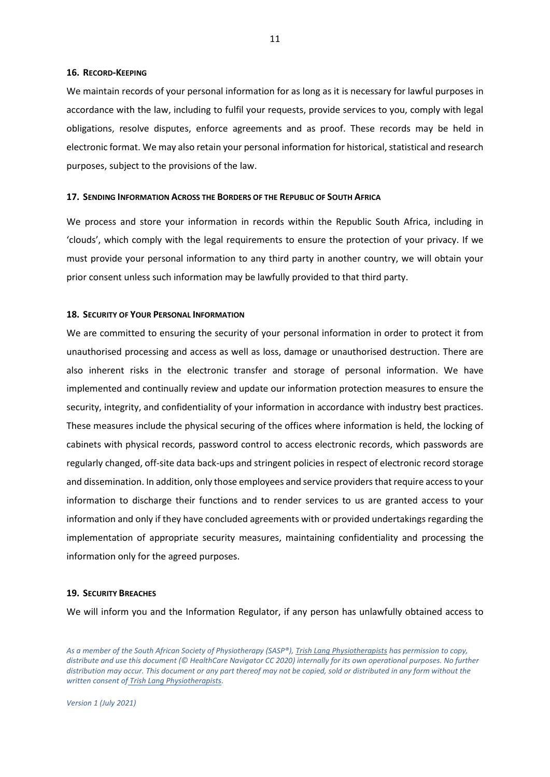#### <span id="page-10-0"></span>**16. RECORD-KEEPING**

We maintain records of your personal information for as long as it is necessary for lawful purposes in accordance with the law, including to fulfil your requests, provide services to you, comply with legal obligations, resolve disputes, enforce agreements and as proof. These records may be held in electronic format. We may also retain your personal information for historical, statistical and research purposes, subject to the provisions of the law.

#### <span id="page-10-1"></span>**17. SENDING INFORMATION ACROSS THE BORDERS OF THE REPUBLIC OF SOUTH AFRICA**

We process and store your information in records within the Republic South Africa, including in 'clouds', which comply with the legal requirements to ensure the protection of your privacy. If we must provide your personal information to any third party in another country, we will obtain your prior consent unless such information may be lawfully provided to that third party.

#### <span id="page-10-2"></span>**18. SECURITY OF YOUR PERSONAL INFORMATION**

We are committed to ensuring the security of your personal information in order to protect it from unauthorised processing and access as well as loss, damage or unauthorised destruction. There are also inherent risks in the electronic transfer and storage of personal information. We have implemented and continually review and update our information protection measures to ensure the security, integrity, and confidentiality of your information in accordance with industry best practices. These measures include the physical securing of the offices where information is held, the locking of cabinets with physical records, password control to access electronic records, which passwords are regularly changed, off-site data back-ups and stringent policies in respect of electronic record storage and dissemination. In addition, only those employees and service providers that require access to your information to discharge their functions and to render services to us are granted access to your information and only if they have concluded agreements with or provided undertakings regarding the implementation of appropriate security measures, maintaining confidentiality and processing the information only for the agreed purposes.

#### <span id="page-10-3"></span>**19. SECURITY BREACHES**

We will inform you and the Information Regulator, if any person has unlawfully obtained access to

*As a member of the South African Society of Physiotherapy (SASP®), Trish Lang Physiotherapists has permission to copy, distribute and use this document (© HealthCare Navigator CC 2020) internally for its own operational purposes. No further distribution may occur. This document or any part thereof may not be copied, sold or distributed in any form without the written consent of Trish Lang Physiotherapists.*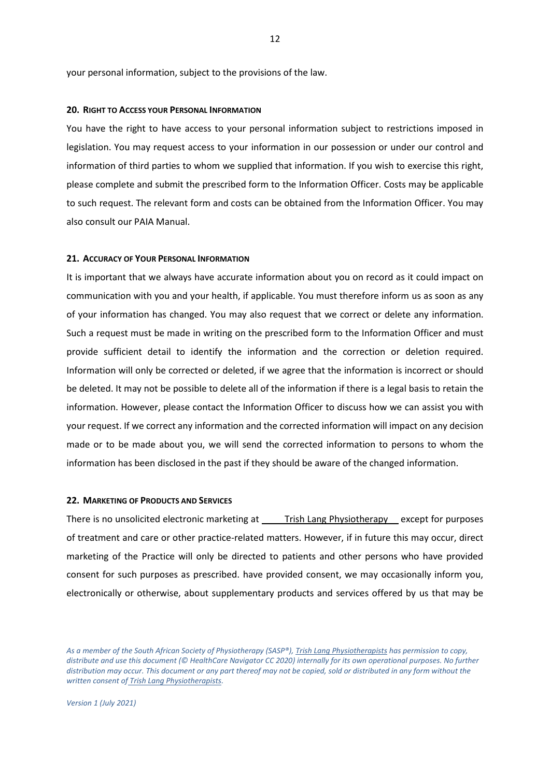your personal information, subject to the provisions of the law.

#### <span id="page-11-0"></span>**20. RIGHT TO ACCESS YOUR PERSONAL INFORMATION**

You have the right to have access to your personal information subject to restrictions imposed in legislation. You may request access to your information in our possession or under our control and information of third parties to whom we supplied that information. If you wish to exercise this right, please complete and submit the prescribed form to the Information Officer. Costs may be applicable to such request. The relevant form and costs can be obtained from the Information Officer. You may also consult our PAIA Manual.

#### <span id="page-11-1"></span>**21. ACCURACY OF YOUR PERSONAL INFORMATION**

It is important that we always have accurate information about you on record as it could impact on communication with you and your health, if applicable. You must therefore inform us as soon as any of your information has changed. You may also request that we correct or delete any information. Such a request must be made in writing on the prescribed form to the Information Officer and must provide sufficient detail to identify the information and the correction or deletion required. Information will only be corrected or deleted, if we agree that the information is incorrect or should be deleted. It may not be possible to delete all of the information if there is a legal basis to retain the information. However, please contact the Information Officer to discuss how we can assist you with your request. If we correct any information and the corrected information will impact on any decision made or to be made about you, we will send the corrected information to persons to whom the information has been disclosed in the past if they should be aware of the changed information.

#### <span id="page-11-2"></span>**22. MARKETING OF PRODUCTS AND SERVICES**

There is no unsolicited electronic marketing at \_\_\_\_\_Trish Lang Physiotherapy \_\_\_ except for purposes of treatment and care or other practice-related matters. However, if in future this may occur, direct marketing of the Practice will only be directed to patients and other persons who have provided consent for such purposes as prescribed. have provided consent, we may occasionally inform you, electronically or otherwise, about supplementary products and services offered by us that may be

*As a member of the South African Society of Physiotherapy (SASP®), Trish Lang Physiotherapists has permission to copy, distribute and use this document (© HealthCare Navigator CC 2020) internally for its own operational purposes. No further distribution may occur. This document or any part thereof may not be copied, sold or distributed in any form without the written consent of Trish Lang Physiotherapists.*